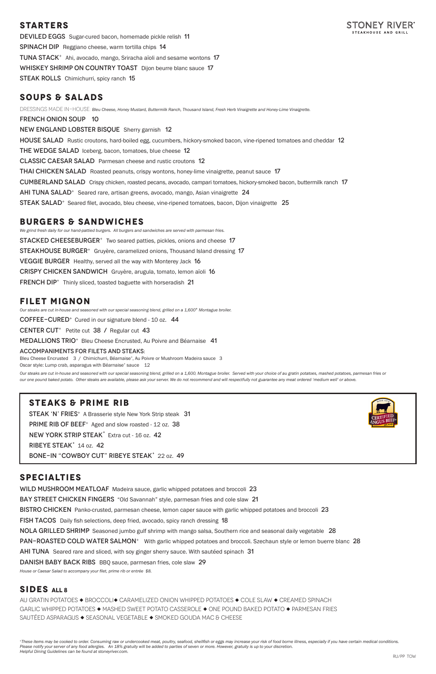## **STARTERS**



DEVILED EGGS Sugar-cured bacon, homemade pickle relish 11 Spinach DipReggiano cheese, warm tortilla chips 14 Tuna Stack<sup>+</sup>Ahi, avocado, mango, Sriracha aïoli and sesame wontons 17 WHISKEY SHRIMP ON COUNTRY TOAST Dijon beurre blanc sauce 17 **STEAK ROLLS** Chimichurri, spicy ranch 15

## **SOUPS & SALADS**

*We grind fresh daily for our hand-pattied burgers. All burgers and sandwiches are served with parmesan fries.* **STACKED CHEESEBURGER**<sup>+</sup> Two seared patties, pickles, onions and cheese 17 **STEAKHOUSE BURGER<sup>+</sup>** Gruyère, caramelized onions, Thousand Island dressing 17 VEGGIE BURGER Healthy, served all the way with Monterey Jack 16 Crispy chicken sandwichGruyère, arugula, tomato, lemon aïoli 16 FRENCH DIP<sup>+</sup> Thinly sliced, toasted baguette with horseradish 21

DRESSINGS MADE IN-HOUSE: *Bleu Cheese, Honey Mustard, Buttermilk Ranch, Thousand Island, Fresh Herb Vinaigrette and Honey-Lime Vinaigrette.*  french onion soup 10 New England Lobster BisqueSherry garnish 12 HOUSE SALAD Rustic croutons, hard-boiled egg, cucumbers, hickory-smoked bacon, vine-ripened tomatoes and cheddar 12 THE WEDGE SALAD Iceberg, bacon, tomatoes, blue cheese 12 Classic Caesar SaladParmesan cheese and rustic croutons 12 Thai Chicken SaladRoasted peanuts, crispy wontons, honey-lime vinaigrette, peanut sauce 17 Cumberland SaladCrispy chicken, roasted pecans, avocado, campari tomatoes, hickory-smoked bacon, buttermilk ranch 17 Ahi Tuna Salad<sup>+</sup>Seared rare, artisan greens, avocado, mango, Asian vinaigrette24 Steak Salad<sup>+</sup>Seared filet, avocado, bleu cheese, vine-ripened tomatoes, bacon, Dijon vinaigrette 25

## **BURGERS & SANDWICHES**

Our steaks are cut in-house and seasoned with our special seasoning blend, grilled on a 1,600. Montague broiler. Served with your choice of au gratin potatoes, mashed potatoes, parmesan fries or *our one pound baked potato. Other steaks are available, please ask your server. We do not recommend and will respectfully not guarantee any meat ordered 'medium well' or above.*

## **FILET MIGNON**

*Our steaks are cut in-house and seasoned with our special seasoning blend, grilled on a 1,600° Montague broiler.*

 $CO$  FFEE-CURED<sup>+</sup> Cured in our signature blend - 10 oz.  $44$ 

**CENTER CUT**<sup>+</sup> Petite cut  $38 /$  Regular cut  $43$ 

Medallions TRIO<sup>+</sup>Bleu Cheese Encrusted, Au Poivre and Béarnaise 41

#### Accompaniments for filets and steaks:

Bleu Cheese Encrusted 3 / Chimichurri, Béarnaise<sup>+</sup>, Au Poivre or Mushroom Madeira sauce 3 Oscar style: Lump crab, asparagus with Béarnaise<sup>+</sup> sauce 12

## **STEAKS & PRIME RIB**

STEAK 'N' FRIES<sup>+</sup> A Brasserie style New York Strip steak 31 PRIME RIB OF BEEF<sup>+</sup> Aged and slow roasted - 12 oz. 38

NEW YORK STRIP STEAK<sup>+</sup> Extra cut - 16 oz. 42

RIBEYE STEAK<sup>+</sup> 14 oz. 42

BONE-IN "COWBOY CUT" RIBEYE STEAK<sup>+</sup> 22 oz. 49



## **SPECIALTIES**

WILD MUSHROOM MEATLOAF Madeira sauce, garlic whipped potatoes and broccoli 23

BAY STREET CHICKEN FINGERS "Old Savannah" style, parmesan fries and cole slaw 21

BISTRO CHICKEN Panko-crusted, parmesan cheese, lemon caper sauce with garlic whipped potatoes and broccoli 23

fish tacosDaily fish selections, deep fried, avocado, spicy ranch dressing 18

NOLA GRILLED SHRIMP Seasoned jumbo gulf shrimp with mango salsa, Southern rice and seasonal daily vegetable 28

PAN-ROASTED COLD WATER SALMON<sup>+</sup> With garlic whipped potatoes and broccoli. Szechaun style or lemon buerre blanc 28

AHI TUNA Seared rare and sliced, with soy ginger sherry sauce. With sautéed spinach 31

DANISH BABY BACK RIBS BBQ sauce, parmesan fries, cole slaw 29

*House or Caesar Salad to accompany your filet, prime rib or entrée \$8.*

## **SIDES All 8**

AU GRATIN POTATOES  $\blacklozenge$  BROCCOLI $\blacklozenge$  CARAMELIZED ONION WHIPPED POTATOES  $\blacklozenge$  COLE SLAW  $\blacklozenge$  CREAMED SPINACH GARLIC WHIPPED POTATOES  $\blacklozenge$  MASHED SWEET POTATO CASSEROLE  $\blacklozenge$  ONE POUND BAKED POTATO  $\blacktriangleright$  PARMESAN FRIES SAUTÉED ASPARAGUS • SEASONAL VEGETABLE • SMOKED GOUDA MAC & CHEESE

*<sup>+</sup>These items may be cooked to order. Consuming raw or undercooked meat, poultry, seafood, shellfish or eggs may increase your risk of food borne illness, especially if you have certain medical conditions. Please notify your server of any food allergies. An 18% gratuity will be added to parties of seven or more. However, gratuity is up to your discretion. Helpful Dining Guidelines can be found at stoneyriver.com.*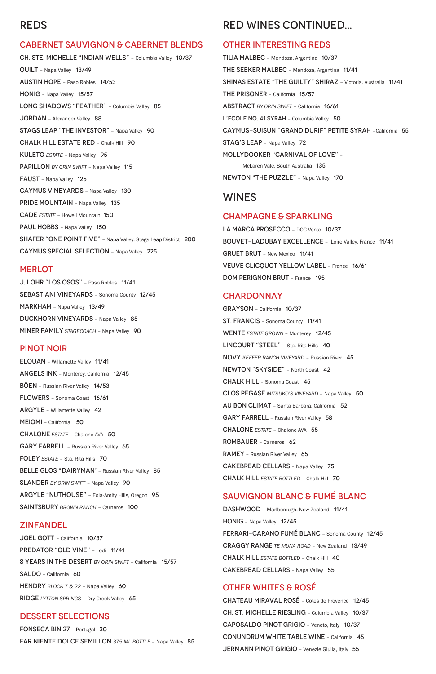# REDS

### CABERNET SAUVIGNON & CABERNET BLENDS

CH. STE. MICHELLE "INDIAN WELLS" – Columbia Valley 10/37 QUILT – Napa Valley 13/49 AUSTIN HOPE – Paso Robles 14/53 HONIG – Napa Valley 15/57 LONG SHADOWS "FEATHER" - Columbia Valley 85 JORDAN – Alexander Valley 88 STAGS LEAP "THE INVESTOR" – Napa Valley 90 CHALK HILL ESTATE RED – Chalk Hill 90 KULETO *ESTATE* – Napa Valley 95 PAPILLON *BY ORIN SWIFT* – Napa Valley 115 FAUST – Napa Valley 125 CAYMUS VINEYARDS – Napa Valley 130 PRIDE MOUNTAIN - Napa Valley 135 CADE *ESTATE* – Howell Mountain 150 PAUL HOBBS - Napa Valley 150 SHAFER "ONE POINT FIVE" – Napa Valley, Stags Leap District 200 CAYMUS SPECIAL SELECTION – Napa Valley 225

#### **MERLOT**

J. LOHR "LOS OSOS" – Paso Robles 11/41 SEBASTIANI VINEYARDS – Sonoma County 12/45 MARKHAM – Napa Valley 13/49 DUCKHORN VINEYARDS – Napa Valley 85 MINER FAMILY *STAGECOACH* – Napa Valley 90

### PINOT NOIR

ELOUAN – Willamette Valley 11/41 ANGELS INK – Monterey, California 12/45 BÖEN – Russian River Valley 14/53 FLOWERS – Sonoma Coast 16/61 ARGYLE – Willamette Valley 42 MEIOMI – California 50 CHALONE *ESTATE* – Chalone AVA 50 GARY FARRELL – Russian River Valley 65 FOLEY *ESTATE* – Sta. Rita Hills 70 BELLE GLOS "DAIRYMAN"– Russian River Valley 85 SLANDER *BY ORIN SWIFT* – Napa Valley 90 ARGYLE "NUTHOUSE" – Eola-Amity Hills, Oregon 95

LA MARCA PROSECCO - DOC Vento 10/37 BOUVET-LADUBAY EXCELLENCE – Loire Valley, France 11/41 GRUET BRUT – New Mexico 11/41 VEUVE CLICQUOT YELLOW LABEL – France 16/61 DOM PERIGNON BRUT – France 195

#### **CHARDONNAY**

SAINTSBURY *BROWN RANCH* – Carneros 100

#### ZINFANDEL

JOEL GOTT – California 10/37

PREDATOR "OLD VINE" - Lodi 11/41

8 YEARS IN THE DESERT *BY ORIN SWIFT* – California 15/57

SALDO – California 60

HENDRY *BLOCK 7 & 22 -* Napa Valley 60

RIDGE *LYTTON SPRINGS* – Dry Creek Valley 65

### DESSERT SELECTIONS

FONSECA BIN 27 – Portugal 30

FAR NIENTE DOLCE SEMILLON *375 ML BOTTLE* – Napa Valley 85

DASHWOOD - Marlborough, New Zealand 11/41

# RED WINES CONTINUED...

#### OTHER INTERESTING REDS

TILIA MALBEC – Mendoza, Argentina 10/37 THE SEEKER MALBEC – Mendoza, Argentina 11/41 SHINAS ESTATE "THE GUILTY" SHIRAZ – Victoria, Australia 11/41 THE PRISONER – California 15/57 ABSTRACT *BY ORIN SWIFT* – California 16/61 L'ECOLE NO. 41 SYRAH - Columbia Valley 50 CAYMUS-SUISUN "GRAND DURIF" PETITE SYRAH –California 55 STAG'S LEAP – Napa Valley 72 MOLLYDOOKER "CARNIVAL OF LOVE" – McLaren Vale, South Australia 135 NEWTON "THE PUZZLE" – Napa Valley 170

## WINES

### CHAMPAGNE & SPARKLING

GRAYSON – California 10/37 ST. FRANCIS – Sonoma County 11/41 WENTE *ESTATE GROWN* – Monterey 12/45 LINCOURT "STEEL" - Sta. Rita Hills 40 NOVY *KEFFER RANCH VINEYARD* – Russian River 45 NEWTON "SKYSIDE" – North Coast 42 CHALK HILL – Sonoma Coast 45 CLOS PEGASE *MITSUKO'S VINEYARD* – Napa Valley 50 AU BON CLIMAT – Santa Barbara, California 52 GARY FARRELL – Russian River Valley 58 CHALONE *ESTATE* – Chalone AVA 55 ROMBAUER – Carneros 62 RAMEY – Russian River Valley 65 CAKEBREAD CELLARS – Napa Valley 75 CHALK HILL *ESTATE BOTTLED* – Chalk Hill 70

## SAUVIGNON BLANC & FUMÉ BLANC

HONIG – Napa Valley 12/45

FERRARI-CARANO FUMÉ BLANC – Sonoma County 12/45

CRAGGY RANGE *TE MUNA ROAD* – New Zealand 13/49

CHALK HILL *ESTATE BOTTLED* – Chalk Hill 40

CAKEBREAD CELLARS – Napa Valley 55

### OTHER WHITES & ROSÉ

CHATEAU MIRAVAL ROSÉ – Côtes de Provence 12/45 CH. ST. MICHELLE RIESLING – Columbia Valley 10/37 CAPOSALDO PINOT GRIGIO – Veneto, Italy 10/37 CONUNDRUM WHITE TABLE WINE – California 45 JERMANN PINOT GRIGIO – Venezie Giulia, Italy 55